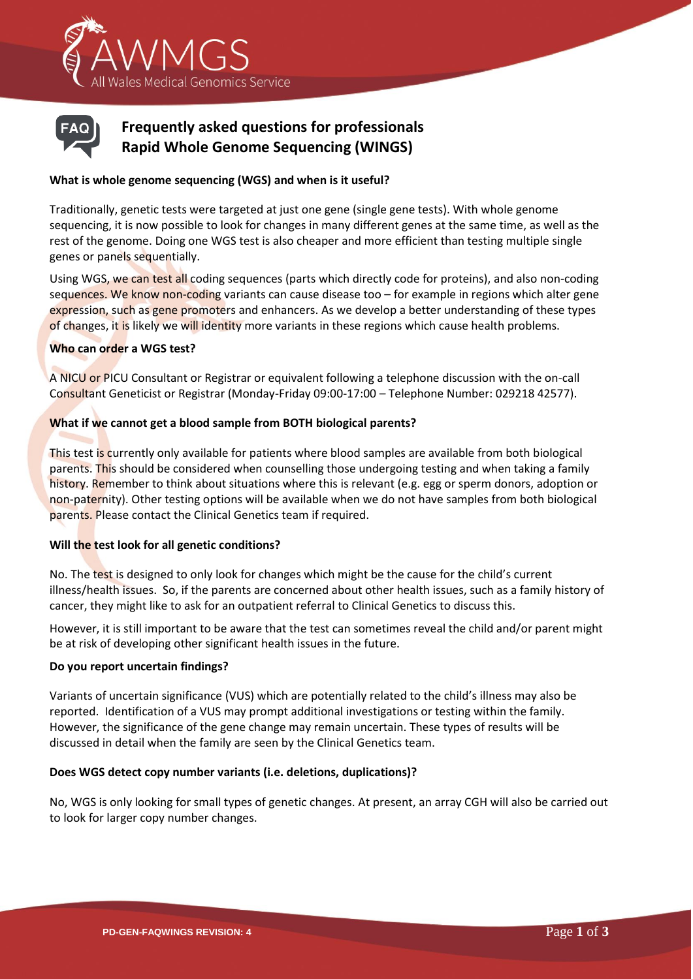



# **Frequently asked questions for professionals Rapid Whole Genome Sequencing (WINGS)**

# **What is whole genome sequencing (WGS) and when is it useful?**

Traditionally, genetic tests were targeted at just one gene (single gene tests). With whole genome sequencing, it is now possible to look for changes in many different genes at the same time, as well as the rest of the genome. Doing one WGS test is also cheaper and more efficient than testing multiple single genes or panels sequentially.

Using WGS, we can test all coding sequences (parts which directly code for proteins), and also non-coding sequences. We know non-coding variants can cause disease too - for example in regions which alter gene expression, such as gene promoters and enhancers. As we develop a better understanding of these types of changes, it is likely we will identity more variants in these regions which cause health problems.

#### **Who can order a WGS test?**

A NICU or PICU Consultant or Registrar or equivalent following a telephone discussion with the on-call Consultant Geneticist or Registrar (Monday-Friday 09:00-17:00 – Telephone Number: 029218 42577).

# **What if we cannot get a blood sample from BOTH biological parents?**

This test is currently only available for patients where blood samples are available from both biological parents. This should be considered when counselling those undergoing testing and when taking a family history. Remember to think about situations where this is relevant (e.g. egg or sperm donors, adoption or non-paternity). Other testing options will be available when we do not have samples from both biological parents. Please contact the Clinical Genetics team if required.

#### **Will the test look for all genetic conditions?**

No. The test is designed to only look for changes which might be the cause for the child's current illness/health issues. So, if the parents are concerned about other health issues, such as a family history of cancer, they might like to ask for an outpatient referral to Clinical Genetics to discuss this.

However, it is still important to be aware that the test can sometimes reveal the child and/or parent might be at risk of developing other significant health issues in the future.

#### **Do you report uncertain findings?**

Variants of uncertain significance (VUS) which are potentially related to the child's illness may also be reported. Identification of a VUS may prompt additional investigations or testing within the family. However, the significance of the gene change may remain uncertain. These types of results will be discussed in detail when the family are seen by the Clinical Genetics team.

#### **Does WGS detect copy number variants (i.e. deletions, duplications)?**

No, WGS is only looking for small types of genetic changes. At present, an array CGH will also be carried out to look for larger copy number changes.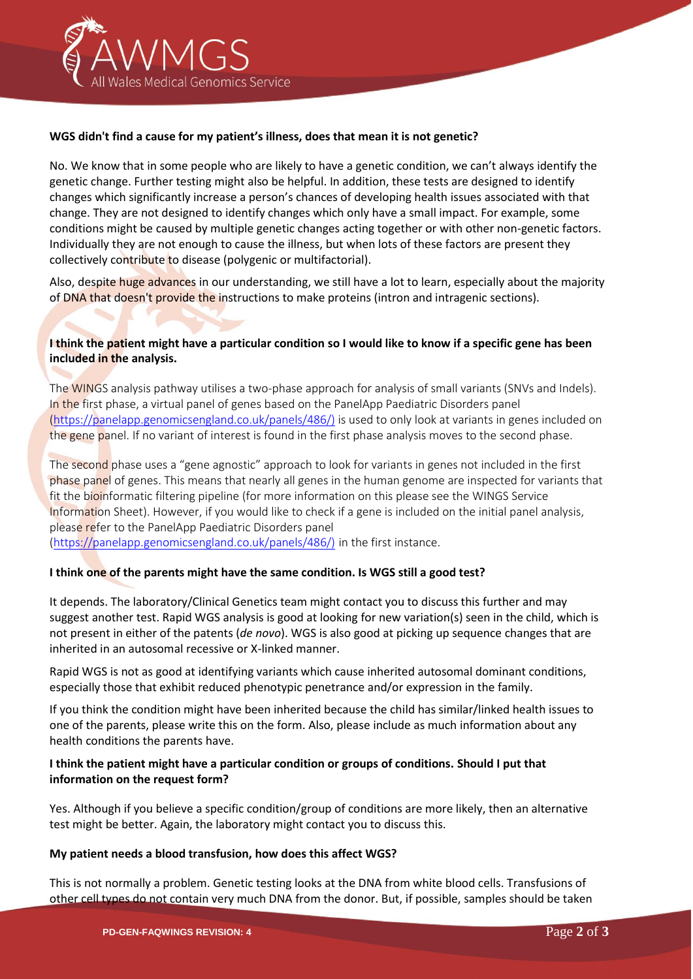

#### **WGS didn't find a cause for my patient's illness, does that mean it is not genetic?**

No. We know that in some people who are likely to have a genetic condition, we can't always identify the genetic change. Further testing might also be helpful. In addition, these tests are designed to identify changes which significantly increase a person's chances of developing health issues associated with that change. They are not designed to identify changes which only have a small impact. For example, some conditions might be caused by multiple genetic changes acting together or with other non-genetic factors. Individually they are not enough to cause the illness, but when lots of these factors are present they collectively contribute to disease (polygenic or multifactorial).

Also, despite huge advances in our understanding, we still have a lot to learn, especially about the majority of DNA that doesn't provide the instructions to make proteins (intron and intragenic sections).

# **I think the patient might have a particular condition so I would like to know if a specific gene has been included in the analysis.**

The WINGS analysis pathway utilises a two-phase approach for analysis of small variants (SNVs and Indels). In the first phase, a virtual panel of genes based on the PanelApp Paediatric Disorders panel [\(https://panelapp.genomicsengland.co.uk/panels/486/\)](https://panelapp.genomicsengland.co.uk/panels/486/)) is used to only look at variants in genes included on the gene panel. If no variant of interest is found in the first phase analysis moves to the second phase.

The second phase uses a "gene agnostic" approach to look for variants in genes not included in the first phase panel of genes. This means that nearly all genes in the human genome are inspected for variants that fit the bioinformatic filtering pipeline (for more information on this please see the WINGS Service Information Sheet). However, if you would like to check if a gene is included on the initial panel analysis, please refer to the PanelApp Paediatric Disorders panel

[\(https://panelapp.genomicsengland.co.uk/panels/486/\)](https://panelapp.genomicsengland.co.uk/panels/486/)) in the first instance.

#### **I think one of the parents might have the same condition. Is WGS still a good test?**

It depends. The laboratory/Clinical Genetics team might contact you to discuss this further and may suggest another test. Rapid WGS analysis is good at looking for new variation(s) seen in the child, which is not present in either of the patents (*de novo*). WGS is also good at picking up sequence changes that are inherited in an autosomal recessive or X-linked manner.

Rapid WGS is not as good at identifying variants which cause inherited autosomal dominant conditions, especially those that exhibit reduced phenotypic penetrance and/or expression in the family.

If you think the condition might have been inherited because the child has similar/linked health issues to one of the parents, please write this on the form. Also, please include as much information about any health conditions the parents have.

# **I think the patient might have a particular condition or groups of conditions. Should I put that information on the request form?**

Yes. Although if you believe a specific condition/group of conditions are more likely, then an alternative test might be better. Again, the laboratory might contact you to discuss this.

#### **My patient needs a blood transfusion, how does this affect WGS?**

This is not normally a problem. Genetic testing looks at the DNA from white blood cells. Transfusions of other cell types do not contain very much DNA from the donor. But, if possible, samples should be taken